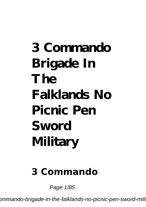# **3 Commando Brigade In The Falklands No Picnic Pen Sword Military**

#### **3 Commando**

Page 1/85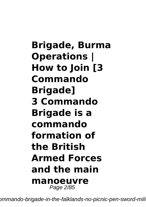**Brigade, Burma Operations | How to Join [3 Commando Brigade] 3 Commando Brigade is a commando formation of the British Armed Forces and the main manoeuvre** Page 2/85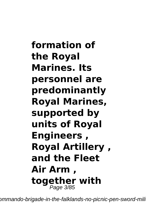**formation of the Royal Marines. Its personnel are predominantly Royal Marines, supported by units of Royal Engineers , Royal Artillery , and the Fleet Air Arm , together with** Page 3/85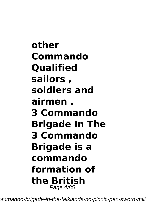**other Commando Qualified sailors , soldiers and airmen . 3 Commando Brigade In The 3 Commando Brigade is a commando formation of the British** Page 4/85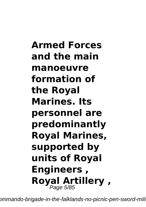**Armed Forces and the main manoeuvre formation of the Royal Marines. Its personnel are predominantly Royal Marines, supported by units of Royal Engineers , Royal Artillery ,** Page 5/85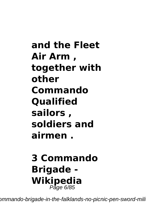**and the Fleet Air Arm , together with other Commando Qualified sailors , soldiers and airmen .**

## **3 Commando Brigade - Wikipedia** Page 6/85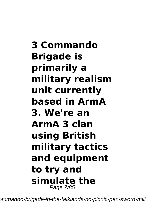**3 Commando Brigade is primarily a military realism unit currently based in ArmA 3. We're an ArmA 3 clan using British military tactics and equipment to try and simulate the** Page 7/85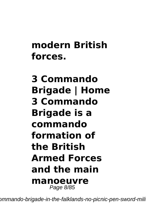### **modern British forces.**

**3 Commando Brigade | Home 3 Commando Brigade is a commando formation of the British Armed Forces and the main manoeuvre** Page 8/85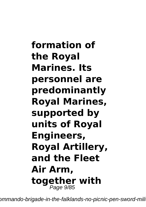**formation of the Royal Marines. Its personnel are predominantly Royal Marines, supported by units of Royal Engineers, Royal Artillery, and the Fleet Air Arm, together with** Page 9/85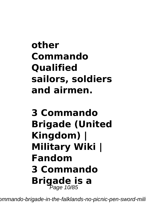**other Commando Qualified sailors, soldiers and airmen.**

## **3 Commando Brigade (United Kingdom) | Military Wiki | Fandom 3 Commando Brigade is a** Page 10/85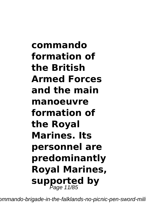**commando formation of the British Armed Forces and the main manoeuvre formation of the Royal Marines. Its personnel are predominantly Royal Marines, supported by** Page 11/85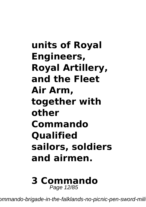**units of Royal Engineers, Royal Artillery, and the Fleet Air Arm, together with other Commando Qualified sailors, soldiers and airmen.**

#### **3 Commando** Page 12/85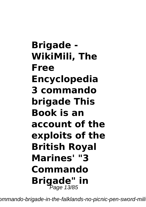**Brigade - WikiMili, The Free Encyclopedia 3 commando brigade This Book is an account of the exploits of the British Royal Marines' "3 Commando Brigade" in** Page 13/85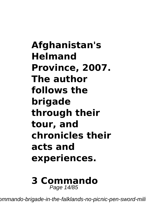**Afghanistan's Helmand Province, 2007. The author follows the brigade through their tour, and chronicles their acts and experiences.**

#### **3 Commando** Page 14/85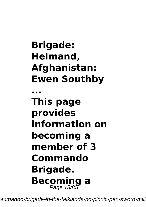## **Brigade: Helmand, Afghanistan: Ewen Southby**

**... This page provides information on becoming a member of 3 Commando Brigade. Becoming a** Page 15/85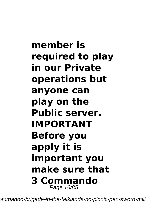**member is required to play in our Private operations but anyone can play on the Public server. IMPORTANT Before you apply it is important you make sure that 3 Commando** Page 16/85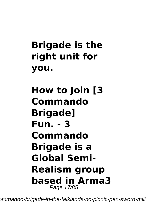## **Brigade is the right unit for you.**

**How to Join [3 Commando Brigade] Fun. - 3 Commando Brigade is a Global Semi-Realism group based in Arma3** Page 17/85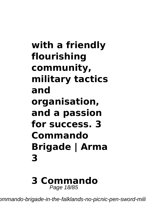**with a friendly flourishing community, military tactics and organisation, and a passion for success. 3 Commando Brigade | Arma 3**

**3 Commando** Page 18/85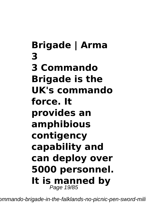**Brigade | Arma 3 3 Commando Brigade is the UK's commando force. It provides an amphibious contigency capability and can deploy over 5000 personnel. It is manned by** Page 19/85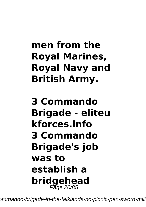## **men from the Royal Marines, Royal Navy and British Army.**

**3 Commando Brigade - eliteu kforces.info 3 Commando Brigade's job was to establish a bridgehead** Page 20/85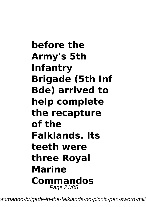**before the Army's 5th Infantry Brigade (5th Inf Bde) arrived to help complete the recapture of the Falklands. Its teeth were three Royal Marine Commandos** Page 21/85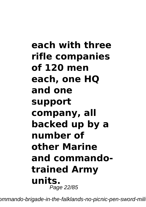**each with three rifle companies of 120 men each, one HQ and one support company, all backed up by a number of other Marine and commandotrained Army units.** Page 22/85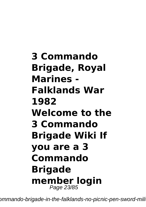**3 Commando Brigade, Royal Marines - Falklands War 1982 Welcome to the 3 Commando Brigade Wiki If you are a 3 Commando Brigade member login** Page 23/85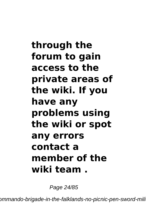**through the forum to gain access to the private areas of the wiki. If you have any problems using the wiki or spot any errors contact a member of the wiki team .**

Page 24/85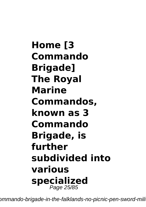**Home [3 Commando Brigade] The Royal Marine Commandos, known as 3 Commando Brigade, is further subdivided into various specialized** Page 25/85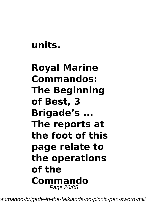#### **units.**

### **Royal Marine Commandos: The Beginning of Best, 3 Brigade's ... The reports at the foot of this page relate to the operations of the Commando** Page 26/85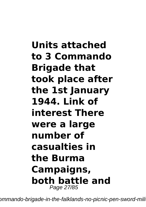**Units attached to 3 Commando Brigade that took place after the 1st January 1944. Link of interest There were a large number of casualties in the Burma Campaigns, both battle and** Page 27/85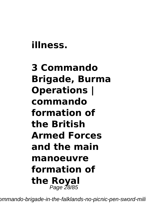#### **illness.**

## **3 Commando Brigade, Burma Operations | commando formation of the British Armed Forces and the main manoeuvre formation of the Royal** Page 28/85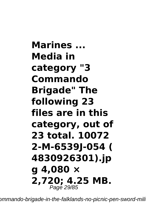**Marines ... Media in category "3 Commando Brigade" The following 23 files are in this category, out of 23 total. 10072 2-M-6539J-054 ( 4830926301).jp g 4,080 × 2,720; 4.25 MB.** Page 29/85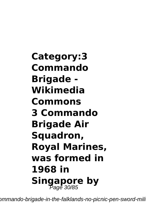**Category:3 Commando Brigade - Wikimedia Commons 3 Commando Brigade Air Squadron, Royal Marines, was formed in 1968 in Singapore by** Page 30/85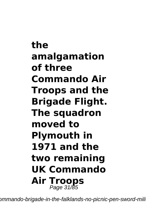**the amalgamation of three Commando Air Troops and the Brigade Flight. The squadron moved to Plymouth in 1971 and the two remaining UK Commando Air Troops** Page 31/85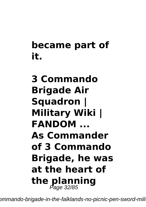## **became part of it.**

## **3 Commando Brigade Air Squadron | Military Wiki | FANDOM ... As Commander of 3 Commando Brigade, he was at the heart of the planning** Page 32/85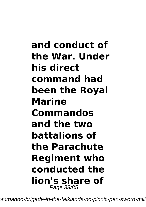**and conduct of the War. Under his direct command had been the Royal Marine Commandos and the two battalions of the Parachute Regiment who conducted the lion's share of** Page 33/85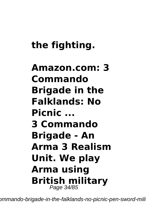## **the fighting.**

## **Amazon.com: 3 Commando Brigade in the Falklands: No Picnic ... 3 Commando Brigade - An Arma 3 Realism Unit. We play Arma using British military** Page 34/85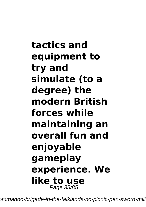**tactics and equipment to try and simulate (to a degree) the modern British forces while maintaining an overall fun and enjoyable gameplay experience. We like to use** Page 35/85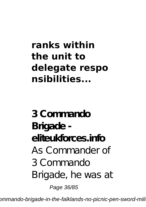## **ranks within the unit to delegate respo nsibilities...**

**3 Commando Brigade eliteukforces.info** As Commander of 3 Commando Brigade, he was at Page 36/85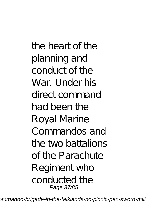the heart of the planning and conduct of the War. Under his direct command had been the Royal Marine Commandos and the two battalions of the Parachute Regiment who conducted the Page 37/85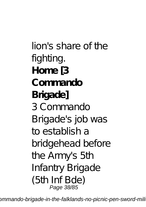lion's share of the fighting. **Home [3 Commando Brigade]** 3 Commando Brigade's job was to establish a bridgehead before the Army's 5th Infantry Brigade (5th Inf Bde) Page 38/85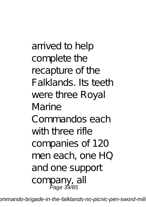arrived to help complete the recapture of the Falklands. Its teeth were three Royal Marine Commandos each with three rifle companies of 120 men each, one HQ and one support company, all Page 39/85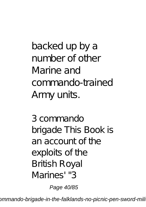backed up by a number of other Marine and commando-trained Army units.

3 commando brigade This Book is an account of the exploits of the British Royal Marines' "3

Page 40/85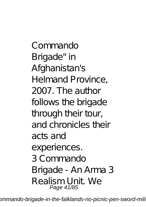Commando Brigade" in Afghanistan's Helmand Province, 2007. The author follows the brigade through their tour, and chronicles their acts and experiences. 3 Commando Brigade - An Arma 3 Realism Unit. We Page 41/85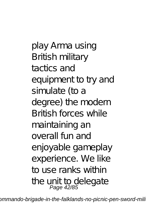play Arma using British military tactics and equipment to try and simulate (to a degree) the modern British forces while maintaining an overall fun and enjoyable gameplay experience. We like to use ranks within the unit to delegate<br>Page 42/85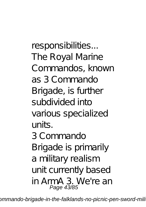responsibilities... The Royal Marine Commandos, known as 3 Commando Brigade, is further subdivided into various specialized units. 3 Commando Brigade is primarily a military realism unit currently based in ArmA 3. We're an Page 43/85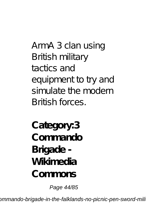ArmA 3 clan using British military tactics and equipment to try and simulate the modern British forces.

**Category:3 Commando Brigade - Wikimedia Commons**

Page 44/85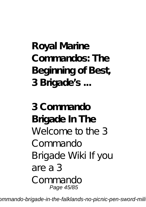# **Royal Marine Commandos: The Beginning of Best, 3 Brigade's ...**

**3 Commando Brigade In The** Welcome to the 3 Commando Brigade Wiki If you are a 3 Commando Page 45/85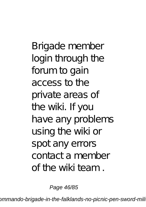Brigade member login through the forum to gain access to the private areas of the wiki. If you have any problems using the wiki or spot any errors contact a member of the wiki team .

Page 46/85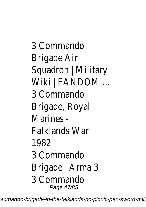3 Commando Brigade Air Squadron | Military Wiki | FANDOM ... 3 Commando Brigade, Royal Marines - Falklands War 1982 3 Commando Brigade | Arma 3 3 Commando Page 47/85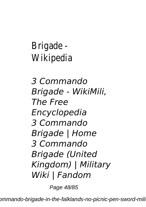Brigade - Wikipedia

*3 Commando Brigade - WikiMili, The Free Encyclopedia 3 Commando Brigade | Home 3 Commando Brigade (United Kingdom) | Military Wiki | Fandom*

Page 48/85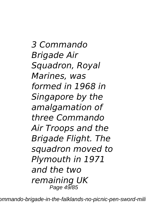*3 Commando Brigade Air Squadron, Royal Marines, was formed in 1968 in Singapore by the amalgamation of three Commando Air Troops and the Brigade Flight. The squadron moved to Plymouth in 1971 and the two remaining UK* Page 49/85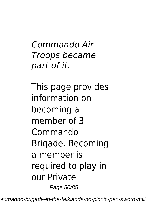*Commando Air Troops became part of it.*

This page provides information on becoming a member of 3 Commando Brigade. Becoming a member is required to play in our Private Page 50/85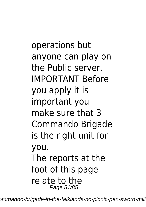operations but anyone can play on the Public server. IMPORTANT Before you apply it is important you make sure that 3 Commando Brigade is the right unit for you. The reports at the foot of this page relate to the Page 51/85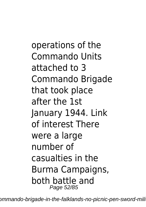operations of the Commando Units attached to 3 Commando Brigade that took place after the 1st January 1944. Link of interest There were a large number of casualties in the Burma Campaigns, both battle and Page 52/85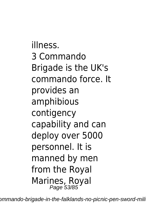illness. 3 Commando Brigade is the UK's commando force. It provides an amphibious contigency capability and can deploy over 5000 personnel. It is manned by men from the Royal Marines, Royal Page 53/85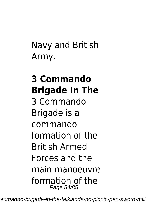Navy and British Army.

### **3 Commando Brigade In The** 3 Commando Brigade is a commando formation of the British Armed Forces and the main manoeuvre formation of the Page 54/85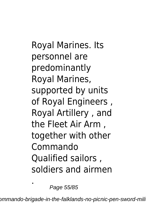Royal Marines. Its personnel are predominantly Royal Marines, supported by units of Royal Engineers , Royal Artillery , and the Fleet Air Arm , together with other Commando Qualified sailors , soldiers and airmen

Page 55/85

.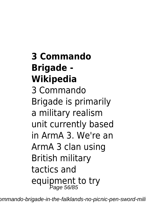**3 Commando Brigade - Wikipedia** 3 Commando Brigade is primarily a military realism unit currently based in ArmA 3. We're an ArmA 3 clan using British military tactics and equipment to try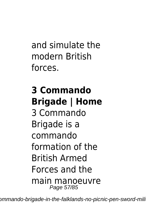and simulate the modern British forces.

### **3 Commando Brigade | Home** 3 Commando Brigade is a commando formation of the British Armed Forces and the main manoeuvre Page 57/85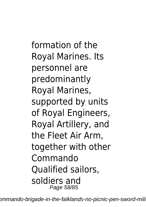formation of the Royal Marines. Its personnel are predominantly Royal Marines, supported by units of Royal Engineers, Royal Artillery, and the Fleet Air Arm, together with other Commando Qualified sailors, soldiers and Page 58/85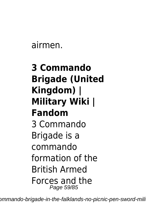airmen.

### **3 Commando Brigade (United Kingdom) | Military Wiki | Fandom** 3 Commando Brigade is a commando formation of the British Armed Forces and the Page 59/85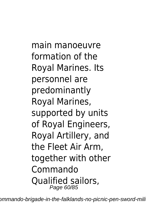main manoeuvre formation of the Royal Marines. Its personnel are predominantly Royal Marines, supported by units of Royal Engineers, Royal Artillery, and the Fleet Air Arm, together with other Commando Qualified sailors, Page 60/85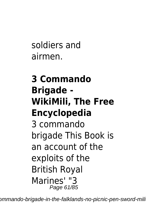soldiers and airmen.

### **3 Commando Brigade - WikiMili, The Free Encyclopedia** 3 commando brigade This Book is an account of the exploits of the British Royal Marines' "3 Page 61/85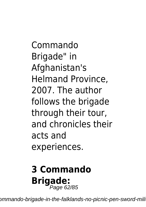Commando Brigade" in Afghanistan's Helmand Province, 2007. The author follows the brigade through their tour, and chronicles their acts and experiences.

# **3 Commando** Brigade:<br>Page 62/85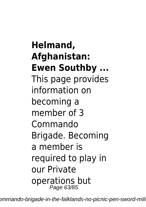### **Helmand, Afghanistan: Ewen Southby ...**

This page provides information on becoming a member of 3 Commando Brigade. Becoming a member is required to play in our Private operations but Page 63/85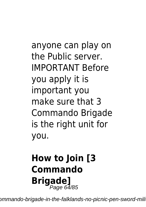anyone can play on the Public server. IMPORTANT Before you apply it is important you make sure that 3 Commando Brigade is the right unit for you.

# **How to Join [3 Commando** Brigade]<br>Page 64/85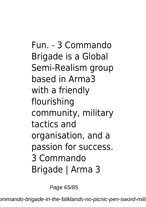Fun. - 3 Commando Brigade is a Global Semi-Realism group based in Arma3 with a friendly flourishing community, military tactics and organisation, and a passion for success. 3 Commando Brigade | Arma 3

Page 65/85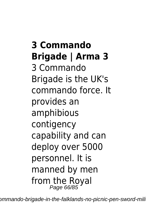**3 Commando Brigade | Arma 3** 3 Commando Brigade is the UK's commando force. It provides an amphibious contigency capability and can deploy over 5000 personnel. It is manned by men from the Royal<br>Page 66/85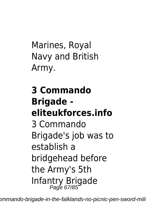Marines, Royal Navy and British Army.

**3 Commando Brigade eliteukforces.info** 3 Commando Brigade's job was to establish a bridgehead before the Army's 5th Infantry Brigade Page 67/85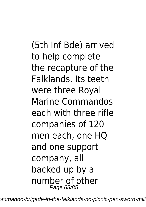(5th Inf Bde) arrived to help complete the recapture of the Falklands. Its teeth were three Royal Marine Commandos each with three rifle companies of 120 men each, one HQ and one support company, all backed up by a number of other Page 68/85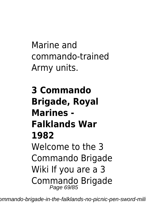Marine and commando-trained Army units.

**3 Commando Brigade, Royal Marines - Falklands War 1982** Welcome to the 3 Commando Brigade Wiki If you are a 3 Commando Brigade<br>Page 69/85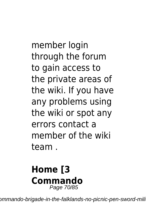member login through the forum to gain access to the private areas of the wiki. If you have any problems using the wiki or spot any errors contact a member of the wiki team .

#### **Home [3 Commando** Page 70/85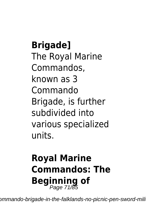**Brigade]** The Royal Marine Commandos, known as 3 Commando Brigade, is further subdivided into various specialized units.

# **Royal Marine Commandos: The Beginning of** Page 71/85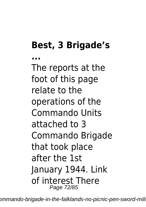# **Best, 3 Brigade's**

**...** The reports at the foot of this page relate to the operations of the Commando Units attached to 3 Commando Brigade that took place after the 1st January 1944. Link of interest There Page 72/85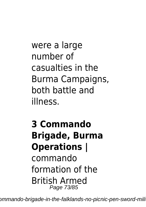were a large number of casualties in the Burma Campaigns, both battle and illness.

## **3 Commando Brigade, Burma Operations | ͏** commando formation of the British Armed Page 73/85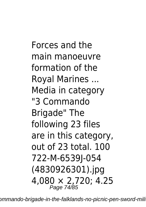Forces and the main manoeuvre formation of the Royal Marines ... Media in category "3 Commando Brigade" The following 23 files are in this category, out of 23 total. 100 722-M-6539J-054 (4830926301).jpg 4,080 × 2,720; 4.25 Page 74/85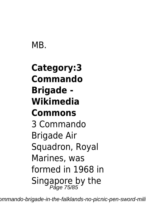## MB.

# **Category:3 Commando Brigade - Wikimedia Commons** 3 Commando Brigade Air Squadron, Royal Marines, was formed in 1968 in Singapore by the<br>Page 75/85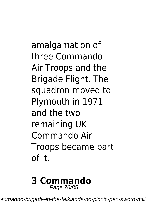amalgamation of three Commando Air Troops and the Brigade Flight. The squadron moved to Plymouth in 1971 and the two remaining UK Commando Air Troops became part of it.

#### **3 Commando** Page 76/85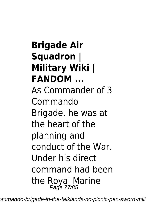**Brigade Air Squadron | Military Wiki | FANDOM ...** As Commander of 3 Commando Brigade, he was at the heart of the planning and conduct of the War. Under his direct command had been the Royal Marine Page 77/85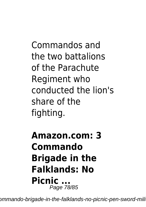Commandos and the two battalions of the Parachute Regiment who conducted the lion's share of the fighting.

### **Amazon.com: 3 Commando Brigade in the Falklands: No Picnic ...** Page 78/85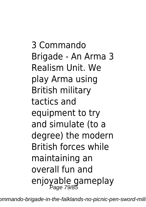3 Commando Brigade - An Arma 3 Realism Unit. We play Arma using British military tactics and equipment to try and simulate (to a degree) the modern British forces while maintaining an overall fun and enjoyable gameplay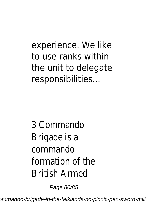experience. We like to use ranks within the unit to delegate responsibilities...

3 Commando Brigade is a commando formation of the British Armed

Page 80/85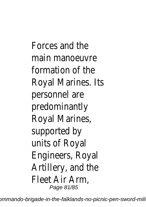Forces and the main manoeuvre formation of the Royal Marines. Its personnel are predominantly Royal Marines, supported by units of Royal Engineers, Royal Artillery, and the Fleet Air Arm, Page 81/85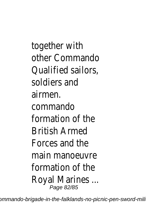together with other Commando Qualified sailors, soldiers and airmen. commando formation of the British Armed Forces and the main manoeuvre formation of the Royal Marines ... Page 82/85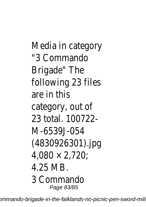Media in category "3 Commando Brigade" The following 23 files are in this category, out of 23 total. 100722- M-6539J-054 (4830926301).jpg 4,080 × 2,720; 4.25 MB. 3 Commando Page 83/85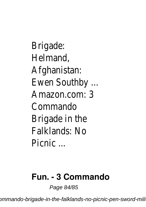Brigade: Helmand, Afghanistan: Ewen Southby ... Amazon.com: 3 Commando Brigade in the Falklands: No Picnic ...

### **Fun. - 3 Commando**

Page 84/85